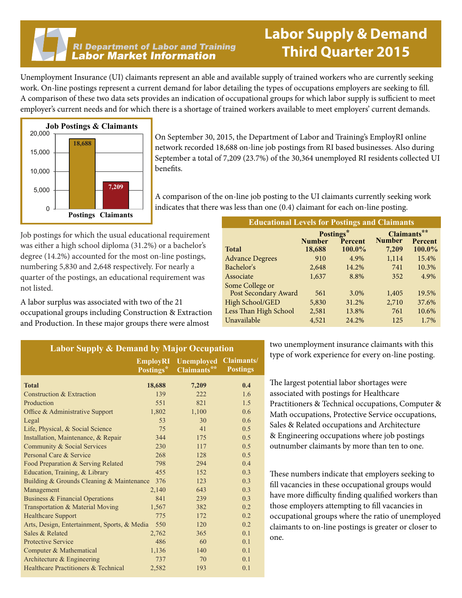#### **RI Department of Labor and Training Labor Market Information**

### **Labor Supply & Demand Third Quarter 2015**

Unemployment Insurance (UI) claimants represent an able and available supply of trained workers who are currently seeking work. On-line postings represent a current demand for labor detailing the types of occupations employers are seeking to fill. A comparison of these two data sets provides an indication of occupational groups for which labor supply is sufficient to meet employer's current needs and for which there is a shortage of trained workers available to meet employers' current demands.



On September 30, 2015, the Department of Labor and Training's EmployRI online network recorded 18,688 on-line job postings from RI based businesses. Also during September a total of 7,209 (23.7%) of the 30,364 unemployed RI residents collected UI benefits.

A comparison of the on-line job posting to the UI claimants currently seeking work indicates that there was less than one (0.4) claimant for each on-line posting.

Job postings for which the usual educational requirement was either a high school diploma (31.2%) or a bachelor's degree (14.2%) accounted for the most on-line postings, numbering 5,830 and 2,648 respectively. For nearly a quarter of the postings, an educational requirement was not listed.

A labor surplus was associated with two of the 21 occupational groups including Construction & Extraction and Production. In these major groups there were almost

| <b>Educational Levels for Postings and Claimants</b> |                            |         |                                         |        |  |
|------------------------------------------------------|----------------------------|---------|-----------------------------------------|--------|--|
|                                                      | Postings*<br><b>Number</b> | Percent | Claimants**<br><b>Number</b><br>Percent |        |  |
| <b>Total</b>                                         | 18,688                     | 100.0%  | 7,209                                   | 100.0% |  |
| <b>Advance Degrees</b>                               | 910                        | 4.9%    | 1,114                                   | 15.4%  |  |
| Bachelor's                                           | 2.648                      | 14.2%   | 741                                     | 10.3%  |  |
| Associate                                            | 1,637                      | 8.8%    | 352                                     | 4.9%   |  |
| Some College or                                      |                            |         |                                         |        |  |
| Post Secondary Award                                 | 561                        | 3.0%    | 1,405                                   | 19.5%  |  |
| High School/GED                                      | 5,830                      | 31.2%   | 2,710                                   | 37.6%  |  |
| Less Than High School                                | 2,581                      | 13.8%   | 761                                     | 10.6%  |  |
| Unavailable                                          | 4,521                      | 24.2%   | 125                                     | 1.7%   |  |

| <b>Labor Supply &amp; Demand by Major Occupation</b> |                                          |                                                         |                 |  |
|------------------------------------------------------|------------------------------------------|---------------------------------------------------------|-----------------|--|
|                                                      | <b>EmployRI</b><br>Postings <sup>*</sup> | <b>Unemployed Claimants/</b><br>Claimants <sup>**</sup> | <b>Postings</b> |  |
| <b>Total</b>                                         | 18,688                                   | 7,209                                                   | 0.4             |  |
| Construction & Extraction                            | 139                                      | 222                                                     | 1.6             |  |
| Production                                           | 551                                      | 821                                                     | 1.5             |  |
| Office & Administrative Support                      | 1,802                                    | 1,100                                                   | 0.6             |  |
| Legal                                                | 53                                       | 30                                                      | 0.6             |  |
| Life, Physical, & Social Science                     | 75                                       | 41                                                      | 0.5             |  |
| Installation, Maintenance, & Repair                  | 344                                      | 175                                                     | 0.5             |  |
| Community & Social Services                          | 230                                      | 117                                                     | 0.5             |  |
| Personal Care & Service                              | 268                                      | 128                                                     | 0.5             |  |
| Food Preparation & Serving Related                   | 798                                      | 294                                                     | 0.4             |  |
| Education, Training, & Library                       | 455                                      | 152                                                     | 0.3             |  |
| Building & Grounds Cleaning & Maintenance            | 376                                      | 123                                                     | 0.3             |  |
| Management                                           | 2,140                                    | 643                                                     | 0.3             |  |
| Business & Financial Operations                      | 841                                      | 239                                                     | 0.3             |  |
| Transportation & Material Moving                     | 1,567                                    | 382                                                     | 0.2             |  |
| <b>Healthcare Support</b>                            | 775                                      | 172                                                     | 0.2             |  |
| Arts, Design, Entertainment, Sports, & Media         | 550                                      | 120                                                     | 0.2             |  |
| Sales & Related                                      | 2,762                                    | 365                                                     | 0.1             |  |
| <b>Protective Service</b>                            | 486                                      | 60                                                      | 0.1             |  |
| Computer & Mathematical                              | 1,136                                    | 140                                                     | 0.1             |  |
| Architecture $&$ Engineering                         | 737                                      | 70                                                      | 0.1             |  |
| Healthcare Practitioners & Technical                 | 2,582                                    | 193                                                     | 0.1             |  |

two unemployment insurance claimants with this type of work experience for every on-line posting.

The largest potential labor shortages were associated with postings for Healthcare Practitioners & Technical occupations, Computer & Math occupations, Protective Service occupations, Sales & Related occupations and Architecture & Engineering occupations where job postings outnumber claimants by more than ten to one.

These numbers indicate that employers seeking to fill vacancies in these occupational groups would have more difficulty finding qualified workers than those employers attempting to fill vacancies in occupational groups where the ratio of unemployed claimants to on-line postings is greater or closer to one.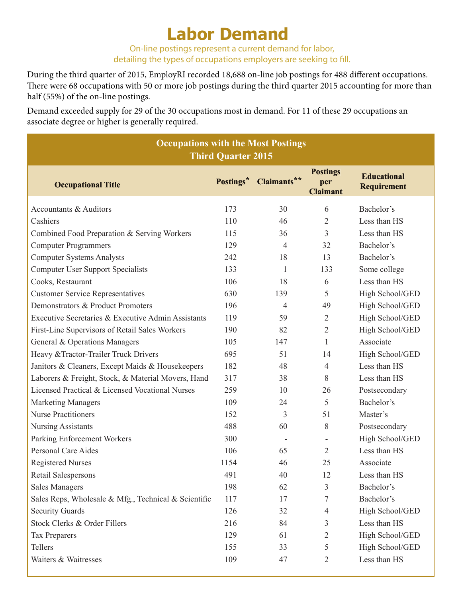## **Labor Demand**

On-line postings represent a current demand for labor, detailing the types of occupations employers are seeking to fill.

During the third quarter of 2015, EmployRI recorded 18,688 on-line job postings for 488 different occupations. There were 68 occupations with 50 or more job postings during the third quarter 2015 accounting for more than half (55%) of the on-line postings.

Demand exceeded supply for 29 of the 30 occupations most in demand. For 11 of these 29 occupations an associate degree or higher is generally required.

| <b>Occupations with the Most Postings</b><br><b>Third Quarter 2015</b> |           |             |                                           |                                          |
|------------------------------------------------------------------------|-----------|-------------|-------------------------------------------|------------------------------------------|
| <b>Occupational Title</b>                                              | Postings* | Claimants** | <b>Postings</b><br>per<br><b>Claimant</b> | <b>Educational</b><br><b>Requirement</b> |
| Accountants & Auditors                                                 | 173       | 30          | 6                                         | Bachelor's                               |
| Cashiers                                                               | 110       | 46          | $\overline{2}$                            | Less than HS                             |
| Combined Food Preparation & Serving Workers                            | 115       | 36          | $\overline{3}$                            | Less than HS                             |
| <b>Computer Programmers</b>                                            | 129       | 4           | 32                                        | Bachelor's                               |
| <b>Computer Systems Analysts</b>                                       | 242       | 18          | 13                                        | Bachelor's                               |
| <b>Computer User Support Specialists</b>                               | 133       | 1           | 133                                       | Some college                             |
| Cooks, Restaurant                                                      | 106       | 18          | 6                                         | Less than HS                             |
| <b>Customer Service Representatives</b>                                | 630       | 139         | 5                                         | High School/GED                          |
| Demonstrators & Product Promoters                                      | 196       | 4           | 49                                        | High School/GED                          |
| Executive Secretaries & Executive Admin Assistants                     | 119       | 59          | $\overline{2}$                            | High School/GED                          |
| First-Line Supervisors of Retail Sales Workers                         | 190       | 82          | $\overline{2}$                            | High School/GED                          |
| General & Operations Managers                                          | 105       | 147         | 1                                         | Associate                                |
| Heavy & Tractor-Trailer Truck Drivers                                  | 695       | 51          | 14                                        | High School/GED                          |
| Janitors & Cleaners, Except Maids & Housekeepers                       | 182       | 48          | $\overline{4}$                            | Less than HS                             |
| Laborers & Freight, Stock, & Material Movers, Hand                     | 317       | 38          | 8                                         | Less than HS                             |
| Licensed Practical & Licensed Vocational Nurses                        | 259       | 10          | 26                                        | Postsecondary                            |
| <b>Marketing Managers</b>                                              | 109       | 24          | 5                                         | Bachelor's                               |
| <b>Nurse Practitioners</b>                                             | 152       | 3           | 51                                        | Master's                                 |
| <b>Nursing Assistants</b>                                              | 488       | 60          | 8                                         | Postsecondary                            |
| Parking Enforcement Workers                                            | 300       |             |                                           | High School/GED                          |
| <b>Personal Care Aides</b>                                             | 106       | 65          | $\overline{2}$                            | Less than HS                             |
| <b>Registered Nurses</b>                                               | 1154      | 46          | 25                                        | Associate                                |
| Retail Salespersons                                                    | 491       | 40          | 12                                        | Less than HS                             |
| <b>Sales Managers</b>                                                  | 198       | 62          | 3                                         | Bachelor's                               |
| Sales Reps, Wholesale & Mfg., Technical & Scientific                   | 117       | 17          | 7                                         | Bachelor's                               |
| <b>Security Guards</b>                                                 | 126       | 32          | $\overline{4}$                            | High School/GED                          |
| Stock Clerks & Order Fillers                                           | 216       | 84          | 3                                         | Less than HS                             |
| <b>Tax Preparers</b>                                                   | 129       | 61          | $\overline{2}$                            | High School/GED                          |
| Tellers                                                                | 155       | 33          | 5                                         | High School/GED                          |
| Waiters & Waitresses                                                   | 109       | 47          | $\overline{2}$                            | Less than HS                             |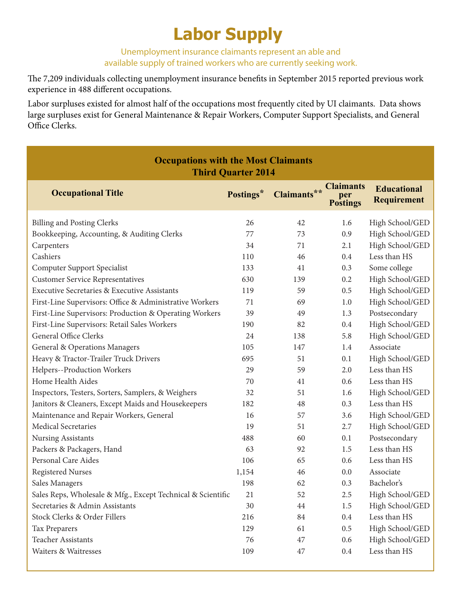## **Labor Supply**

Unemployment insurance claimants represent an able and available supply of trained workers who are currently seeking work.

The 7,209 individuals collecting unemployment insurance benefits in September 2015 reported previous work experience in 488 different occupations.

Labor surpluses existed for almost half of the occupations most frequently cited by UI claimants. Data shows large surpluses exist for General Maintenance & Repair Workers, Computer Support Specialists, and General Office Clerks.

| <b>Occupations with the Most Claimants</b><br><b>Third Quarter 2014</b> |           |             |                                            |                                   |
|-------------------------------------------------------------------------|-----------|-------------|--------------------------------------------|-----------------------------------|
| <b>Occupational Title</b>                                               | Postings* | Claimants** | <b>Claimants</b><br>per<br><b>Postings</b> | <b>Educational</b><br>Requirement |
| <b>Billing and Posting Clerks</b>                                       | 26        | 42          | 1.6                                        | High School/GED                   |
| Bookkeeping, Accounting, & Auditing Clerks                              | 77        | 73          | 0.9                                        | High School/GED                   |
| Carpenters                                                              | 34        | 71          | 2.1                                        | High School/GED                   |
| Cashiers                                                                | 110       | 46          | 0.4                                        | Less than HS                      |
| Computer Support Specialist                                             | 133       | 41          | 0.3                                        | Some college                      |
| <b>Customer Service Representatives</b>                                 | 630       | 139         | 0.2                                        | High School/GED                   |
| <b>Executive Secretaries &amp; Executive Assistants</b>                 | 119       | 59          | 0.5                                        | High School/GED                   |
| First-Line Supervisors: Office & Administrative Workers                 | 71        | 69          | 1.0                                        | High School/GED                   |
| First-Line Supervisors: Production & Operating Workers                  | 39        | 49          | 1.3                                        | Postsecondary                     |
| First-Line Supervisors: Retail Sales Workers                            | 190       | 82          | 0.4                                        | High School/GED                   |
| <b>General Office Clerks</b>                                            | 24        | 138         | 5.8                                        | High School/GED                   |
| General & Operations Managers                                           | 105       | 147         | 1.4                                        | Associate                         |
| Heavy & Tractor-Trailer Truck Drivers                                   | 695       | 51          | 0.1                                        | High School/GED                   |
| Helpers--Production Workers                                             | 29        | 59          | 2.0                                        | Less than HS                      |
| Home Health Aides                                                       | 70        | 41          | 0.6                                        | Less than HS                      |
| Inspectors, Testers, Sorters, Samplers, & Weighers                      | 32        | 51          | 1.6                                        | High School/GED                   |
| Janitors & Cleaners, Except Maids and Housekeepers                      | 182       | 48          | 0.3                                        | Less than HS                      |
| Maintenance and Repair Workers, General                                 | 16        | 57          | 3.6                                        | High School/GED                   |
| <b>Medical Secretaries</b>                                              | 19        | 51          | 2.7                                        | High School/GED                   |
| <b>Nursing Assistants</b>                                               | 488       | 60          | 0.1                                        | Postsecondary                     |
| Packers & Packagers, Hand                                               | 63        | 92          | 1.5                                        | Less than HS                      |
| Personal Care Aides                                                     | 106       | 65          | 0.6                                        | Less than HS                      |
| <b>Registered Nurses</b>                                                | 1,154     | 46          | 0.0                                        | Associate                         |
| Sales Managers                                                          | 198       | 62          | 0.3                                        | Bachelor's                        |
| Sales Reps, Wholesale & Mfg., Except Technical & Scientific             | 21        | 52          | 2.5                                        | High School/GED                   |
| Secretaries & Admin Assistants                                          | 30        | 44          | 1.5                                        | High School/GED                   |
| Stock Clerks & Order Fillers                                            | 216       | 84          | 0.4                                        | Less than HS                      |
| Tax Preparers                                                           | 129       | 61          | 0.5                                        | High School/GED                   |
| Teacher Assistants                                                      | 76        | 47          | 0.6                                        | High School/GED                   |
| Waiters & Waitresses                                                    | 109       | 47          | 0.4                                        | Less than HS                      |